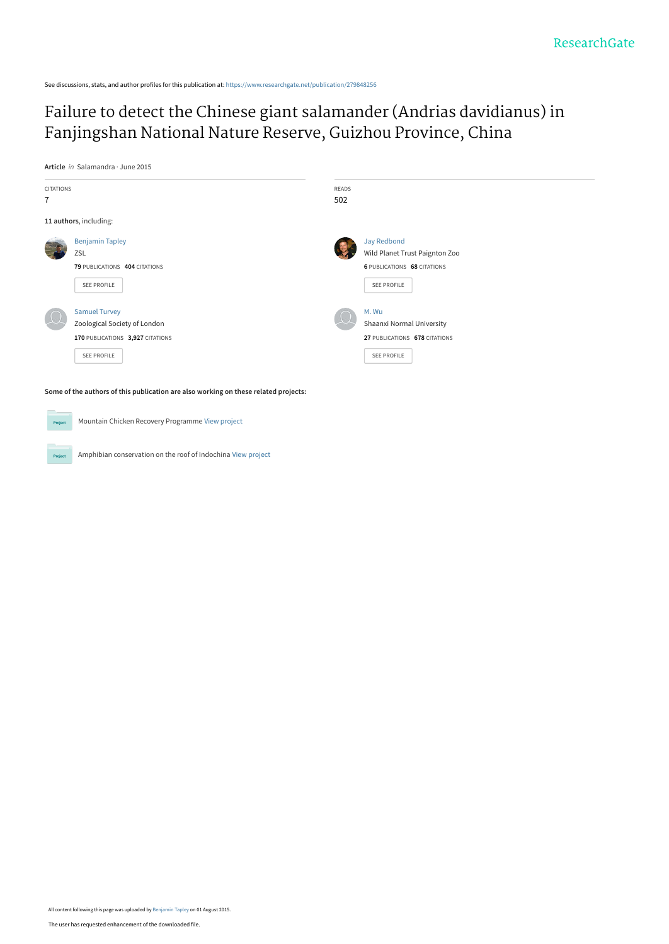See discussions, stats, and author profiles for this publication at: [https://www.researchgate.net/publication/279848256](https://www.researchgate.net/publication/279848256_Failure_to_detect_the_Chinese_giant_salamander_Andrias_davidianus_in_Fanjingshan_National_Nature_Reserve_Guizhou_Province_China?enrichId=rgreq-40ff517dd9fbf37c87858ce609c48521-XXX&enrichSource=Y292ZXJQYWdlOzI3OTg0ODI1NjtBUzoyNTc1NTIwOTcyMTQ0NjVAMTQzODQxNjYxMzgyOQ%3D%3D&el=1_x_2&_esc=publicationCoverPdf)

# [Failure to detect the Chinese giant salamander \(Andrias davidianus\) in](https://www.researchgate.net/publication/279848256_Failure_to_detect_the_Chinese_giant_salamander_Andrias_davidianus_in_Fanjingshan_National_Nature_Reserve_Guizhou_Province_China?enrichId=rgreq-40ff517dd9fbf37c87858ce609c48521-XXX&enrichSource=Y292ZXJQYWdlOzI3OTg0ODI1NjtBUzoyNTc1NTIwOTcyMTQ0NjVAMTQzODQxNjYxMzgyOQ%3D%3D&el=1_x_3&_esc=publicationCoverPdf) Fanjingshan National Nature Reserve, Guizhou Province, China

**Article** in Salamandra · June 2015



**Some of the authors of this publication are also working on these related projects:**

Mountain Chicken Recovery Programme [View project](https://www.researchgate.net/project/Mountain-Chicken-Recovery-Programme?enrichId=rgreq-40ff517dd9fbf37c87858ce609c48521-XXX&enrichSource=Y292ZXJQYWdlOzI3OTg0ODI1NjtBUzoyNTc1NTIwOTcyMTQ0NjVAMTQzODQxNjYxMzgyOQ%3D%3D&el=1_x_9&_esc=publicationCoverPdf) Proj

Amphibian conservation on the roof of Indochina [View project](https://www.researchgate.net/project/Amphibian-conservation-on-the-roof-of-Indochina?enrichId=rgreq-40ff517dd9fbf37c87858ce609c48521-XXX&enrichSource=Y292ZXJQYWdlOzI3OTg0ODI1NjtBUzoyNTc1NTIwOTcyMTQ0NjVAMTQzODQxNjYxMzgyOQ%3D%3D&el=1_x_9&_esc=publicationCoverPdf)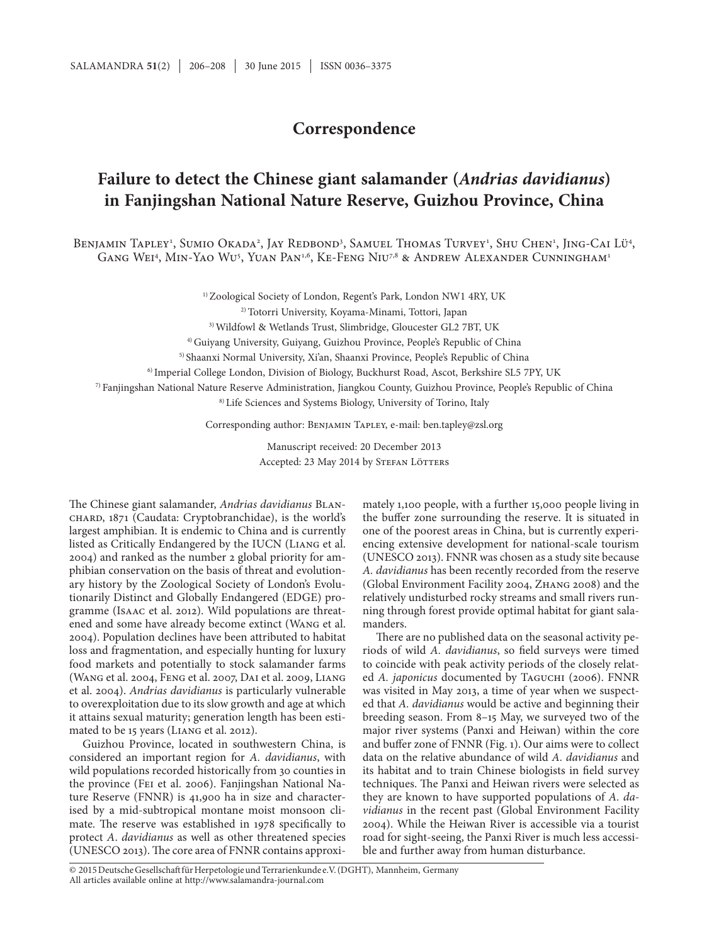### **Correspondence**

## **Failure to detect the Chinese giant salamander (***Andrias davidianus***) in Fanjingshan National Nature Reserve, Guizhou Province, China**

Benjamin Tapley<sup>1</sup>, Sumio Okada<sup>2</sup>, Jay Redbond<sup>3</sup>, Samuel Thomas Turvey<sup>1</sup>, Shu Chen<sup>1</sup>, Jing-Cai Lü<sup>4</sup>, Gang Wei<sup>4</sup>, Min-Yao Wu<sup>5</sup>, Yuan Pan<sup>1,6</sup>, Ke-Feng Niu<sup>7,8</sup> & Andrew Alexander Cunningham<sup>1</sup>

<sup>1)</sup> Zoological Society of London, Regent's Park, London NW1 4RY, UK

2) Totorri University, Koyama-Minami, Tottori, Japan

3) Wildfowl & Wetlands Trust, Slimbridge, Gloucester GL2 7BT, UK

4) Guiyang University, Guiyang, Guizhou Province, People's Republic of China

5) Shaanxi Normal University, Xi'an, Shaanxi Province, People's Republic of China

6) Imperial College London, Division of Biology, Buckhurst Road, Ascot, Berkshire SL5 7PY, UK

7) Fanjingshan National Nature Reserve Administration, Jiangkou County, Guizhou Province, People's Republic of China

8) Life Sciences and Systems Biology, University of Torino, Italy

Corresponding author: Венјамин Тарьех, e-mail: ben.tapley@zsl.org

Manuscript received: 20 December 2013 Accepted: 23 May 2014 by STEFAN LÖTTERS

The Chinese giant salamander, *Andrias davidianus* BLANchard, 1871 (Caudata: Cryptobranchidae), is the world's largest amphibian. It is endemic to China and is currently listed as Critically Endangered by the IUCN (Liang et al. 2004) and ranked as the number 2 global priority for amphibian conservation on the basis of threat and evolutionary history by the Zoological Society of London's Evolutionarily Distinct and Globally Endangered (EDGE) programme (Isaac et al. 2012). Wild populations are threatened and some have already become extinct (Wang et al. 2004). Population declines have been attributed to habitat loss and fragmentation, and especially hunting for luxury food markets and potentially to stock salamander farms (Wang et al. 2004, Feng et al. 2007, Dai et al. 2009, Liang et al. 2004). *Andrias davidianus* is particularly vulnerable to overexploitation due to its slow growth and age at which it attains sexual maturity; generation length has been estimated to be 15 years (Liang et al. 2012).

Guizhou Province, located in southwestern China, is considered an important region for *A. davidianus*, with wild populations recorded historically from 30 counties in the province (Fei et al. 2006). Fanjingshan National Nature Reserve (FNNR) is 41,900 ha in size and characterised by a mid-subtropical montane moist monsoon climate. The reserve was established in 1978 specifically to protect *A*. *davidianus* as well as other threatened species (UNESCO 2013). The core area of FNNR contains approxi-

mately 1,100 people, with a further 15,000 people living in the buffer zone surrounding the reserve. It is situated in one of the poorest areas in China, but is currently experiencing extensive development for national-scale tourism (UNESCO 2013). FNNR was chosen as a study site because *A. davidianus* has been recently recorded from the reserve (Global Environment Facility 2004, Zhang 2008) and the relatively undisturbed rocky streams and small rivers running through forest provide optimal habitat for giant salamanders.

There are no published data on the seasonal activity periods of wild *A. davidianus*, so field surveys were timed to coincide with peak activity periods of the closely related *A. japonicus* documented by Та<sub>GUCHI</sub> (2006). FNNR was visited in May 2013, a time of year when we suspected that *A. davidianus* would be active and beginning their breeding season. From 8–15 May, we surveyed two of the major river systems (Panxi and Heiwan) within the core and buffer zone of FNNR (Fig. 1). Our aims were to collect data on the relative abundance of wild *A. davidianus* and its habitat and to train Chinese biologists in field survey techniques. The Panxi and Heiwan rivers were selected as they are known to have supported populations of *A. davidianus* in the recent past (Global Environment Facility 2004). While the Heiwan River is accessible via a tourist road for sight-seeing, the Panxi River is much less accessible and further away from human disturbance.

All articles available online at http://www.salamandra-journal.com © 2015DeutscheGesellschaftfürHerpetologieundTerrarienkunde e.V.(DGHT), Mannheim, Germany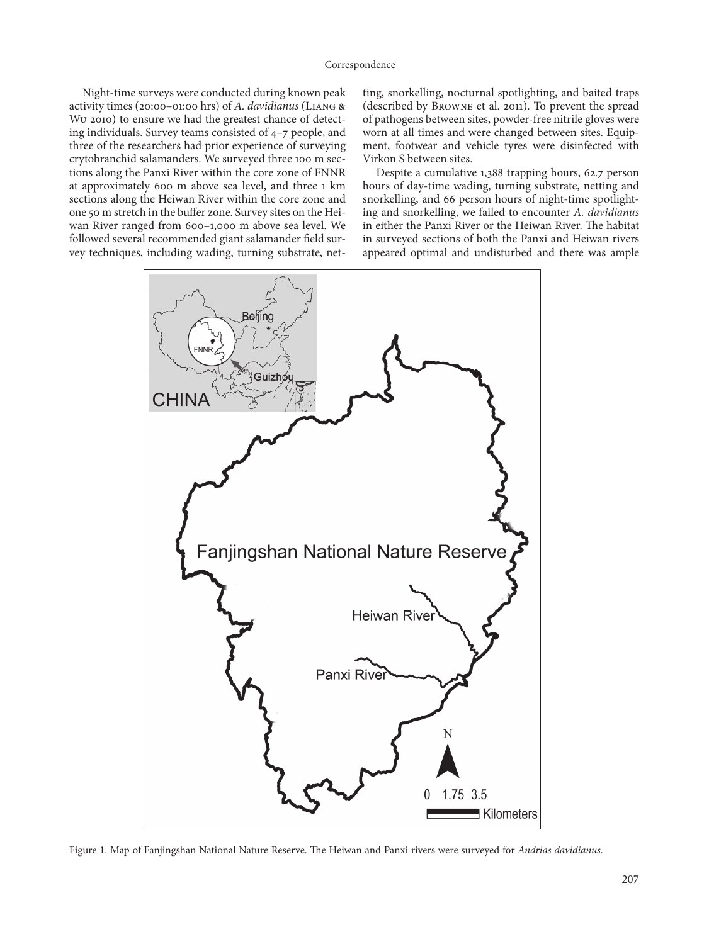Night-time surveys were conducted during known peak activity times (20:00–01:00 hrs) of *A. davidianus* (Liang & Wu 2010) to ensure we had the greatest chance of detecting individuals. Survey teams consisted of 4–7 people, and three of the researchers had prior experience of surveying crytobranchid salamanders. We surveyed three 100 m sections along the Panxi River within the core zone of FNNR at approximately 600 m above sea level, and three 1 km sections along the Heiwan River within the core zone and one 50 m stretch in the buffer zone. Survey sites on the Heiwan River ranged from 600–1,000 m above sea level. We followed several recommended giant salamander field survey techniques, including wading, turning substrate, net-

ting, snorkelling, nocturnal spotlighting, and baited traps (described by Browne et al. 2011). To prevent the spread of pathogens between sites, powder-free nitrile gloves were worn at all times and were changed between sites. Equipment, footwear and vehicle tyres were disinfected with Virkon S between sites.

Despite a cumulative 1,388 trapping hours, 62.7 person hours of day-time wading, turning substrate, netting and snorkelling, and 66 person hours of night-time spotlighting and snorkelling, we failed to encounter *A. davidianus* in either the Panxi River or the Heiwan River. The habitat in surveyed sections of both the Panxi and Heiwan rivers appeared optimal and undisturbed and there was ample



Figure 1. Map of Fanjingshan National Nature Reserve. The Heiwan and Panxi rivers were surveyed for *Andrias davidianus*.